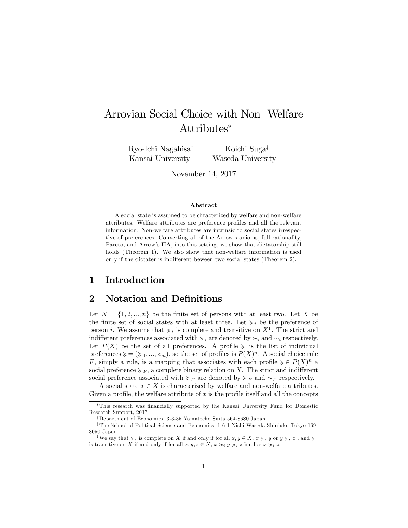# Arrovian Social Choice with Non -Welfare Attributes

Ryo-Ichi Nagahisa<sup>†</sup> Kansai University

Koichi Suga<sup>‡</sup> Waseda University

November 14, 2017

#### Abstract

A social state is assumed to be chracterized by welfare and non-welfare attributes. Welfare attributes are preference profiles and all the relevant information. Non-welfare attributes are intrinsic to social states irrespective of preferences. Converting all of the Arrow's axioms, full rationality, Pareto, and Arrow's IIA, into this setting, we show that dictatorship still holds (Theorem 1). We also show that non-welfare information is used only if the dictater is indifferent beween two social states (Theorem 2).

## 1 Introduction

#### 2 Notation and Definitions

Let  $N = \{1, 2, ..., n\}$  be the finite set of persons with at least two. Let X be the finite set of social states with at least three. Let  $\succcurlyeq_i$  be the preference of person *i*. We assume that  $\succcurlyeq_i$  is complete and transitive on  $X^1$ . The strict and indifferent preferences associated with  $\succcurlyeq_i$  are denoted by  $\succ_i$  and  $\sim_i$  respectively. Let  $P(X)$  be the set of all preferences. A profile  $\succeq$  is the list of individual preferences  $\succcurlyeq=(\succcurlyeq_1, ..., \succcurlyeq_n)$ , so the set of profiles is  $P(X)^n$ . A social choice rule F, simply a rule, is a mapping that associates with each profile  $\succcurlyeq \in P(X)^n$  a social preference  $\succeq_F$ , a complete binary relation on X. The strict and indifferent social preference associated with  $\succeq_F$  are denoted by  $\succeq_F$  and  $\simeq_F$  respectively.

A social state  $x \in X$  is characterized by welfare and non-welfare attributes. Given a profile, the welfare attribute of  $x$  is the profile itself and all the concepts

This research was Önancially supported by the Kansai University Fund for Domestic Research Support, 2017.

<sup>&</sup>lt;sup>†</sup>Department of Economics, 3-3-35 Yamatecho Suita 564-8680 Japan

 $^\ddag\text{The School of Political Science and Economics, 1-6-1 Nishi-Waseda Shiniyku Tokyo 169-$ 8050 Japan

<sup>&</sup>lt;sup>1</sup>We say that  $\succcurlyeq_i$  is complete on X if and only if for all  $x, y \in X$ ,  $x \succcurlyeq_i y$  or  $y \succcurlyeq_i x$ , and  $\succcurlyeq_i x$ is transitive on X if and only if for all  $x, y, z \in X$ ,  $x \succcurlyeq_i y \succcurlyeq_i z$  implies  $x \succcurlyeq_i z$ .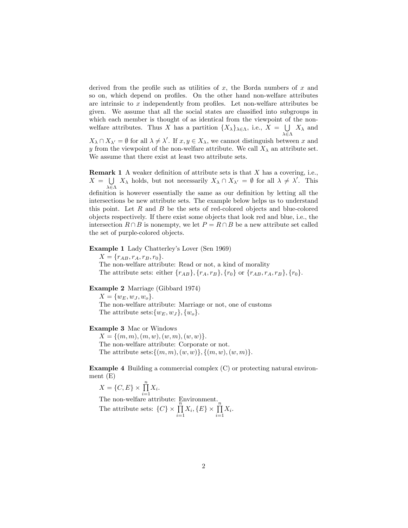derived from the profile such as utilities of  $x$ , the Borda numbers of  $x$  and so on, which depend on profiles. On the other hand non-welfare attributes are intrinsic to  $x$  independently from profiles. Let non-welfare attributes be given. We assume that all the social states are classified into subgroups in which each member is thought of as identical from the viewpoint of the nonwelfare attributes. Thus X has a partition  $\{X_{\lambda}\}_{\lambda \in \Lambda}$ , i.e.,  $X = \bigcup_{\lambda \in \Lambda} X$  $\lambda \in \Lambda$  $X_{\lambda}$  and

 $X_{\lambda} \cap X_{\lambda'} = \emptyset$  for all  $\lambda \neq \lambda'$ . If  $x, y \in X_{\lambda}$ , we cannot distinguish between x and y from the viewpoint of the non-welfare attribute. We call  $X_{\lambda}$  an attribute set. We assume that there exist at least two attribute sets.

**Remark 1** A weaker definition of attribute sets is that  $X$  has a covering, i.e.,  $X = \bigcup$  $\bigcup_{\lambda \in \Lambda} X_{\lambda}$  holds, but not necessarily  $X_{\lambda} \cap X_{\lambda'} = \emptyset$  for all  $\lambda \neq \lambda'$ . This definition is however essentially the same as our definition by letting all the intersections be new attribute sets. The example below helps us to understand this point. Let  $R$  and  $B$  be the sets of red-colored objects and blue-colored objects respectively. If there exist some objects that look red and blue, i.e., the intersection  $R \cap B$  is nonempty, we let  $P = R \cap B$  be a new attribute set called the set of purple-colored objects.

Example 1 Lady Chatterley's Lover (Sen 1969)

 $X = \{r_{AB}, r_A, r_B, r_0\}.$ The non-welfare attribute: Read or not, a kind of morality The attribute sets: either  $\{r_{AB}\}, \{r_A, r_B\}, \{r_0\}$  or  $\{r_{AB}, r_A, r_B\}, \{r_0\}.$ 

Example 2 Marriage (Gibbard 1974)

 $X = \{w_E, w_J, w_o\}.$ The non-welfare attribute: Marriage or not, one of customs The attribute sets:  $\{w_E, w_J\}$ ,  $\{w_o\}$ .

#### Example 3 Mac or Windows

 $X = \{(m, m), (m, w), (w, m), (w, w)\}.$ The non-welfare attribute: Corporate or not. The attribute sets:  $\{(m, m), (w, w)\}, \{(m, w), (w, m)\}.$ 

Example 4 Building a commercial complex (C) or protecting natural environment (E)

 $X = \{C, E\} \times \prod_{i=1}^{n}$  $\prod_{i=1} X_i$ .

The non-welfare attribute: Environment. The attribute sets:  $\{C\} \times \prod_{i=1}^{n}$  $\prod_{i=1}^n X_i, \{E\} \times \prod_{i=1}^n$  $\prod_{i=1} X_i$ .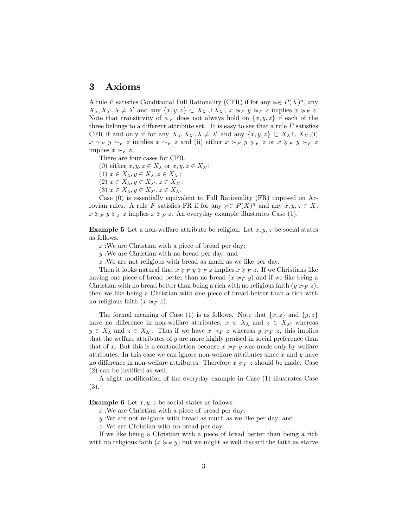#### 3 Axioms

A rule F satisfies Conditional Full Rationality (CFR) if for any  $\succcurlyeq \in P(X)^n$ , any  $X_{\lambda}, X_{\lambda'}, \lambda \neq \lambda'$  and any  $\{x, y, z\} \subset X_{\lambda} \cup X_{\lambda'}, x \succcurlyeq_{F} y \succcurlyeq_{F} z$  implies  $x \succcurlyeq_{F} z$ . Note that transitivity of  $\succcurlyeq_F$  does not always hold on  $\{x, y, z\}$  if each of the three belongs to a different attribute set. It is easy to see that a rule  $F$  satisfies CFR if and only if for any  $X_{\lambda}, X_{\lambda'}, \lambda \neq \lambda'$  and any  $\{x, y, z\} \subset X_{\lambda} \cup X_{\lambda'},$  (i)  $x \sim_F y \sim_F z$  implies  $x \sim_F z$  and (ii) either  $x \succ_F y \succ_F z$  or  $x \succ_F y \succ_F z$ implies  $x \succ_F z$ .

There are four cases for CFR.

(0) either  $x, y, z \in X_\lambda$  or  $x, y, z \in X_{\lambda'};$ 

(1)  $x \in X_\lambda, y \in X_\lambda, z \in X_{\lambda'};$ 

 $(2)$   $x \in X_{\lambda}, y \in X_{\lambda'}, z \in X_{\lambda'};$ 

(3)  $x \in X_{\lambda}, y \in X_{\lambda'}, z \in X_{\lambda}.$ 

Case (0) is essentially equivalent to Full Rationality (FR) imposed on Arrovian rules. A rule F satisfies FR if for any  $\succcurlyeq \in P(X)^n$  and any  $x, y, z \in X$ ,  $x \succcurlyeq_F y \succcurlyeq_F z$  implies  $x \succcurlyeq_F z$ . An everyday example illustrates Case (1).

**Example 5** Let a non-welfare attribute be religion. Let  $x, y, z$  be social states as follows.

x :We are Christian with a piece of bread per day;

y :We are Christian with no bread per day; and

z :We are not religious with bread as much as we like per day.

Then it looks natural that  $x \succcurlyeq_F y \succcurlyeq_F z$  implies  $x \succcurlyeq_F z$ . If we Christians like having one piece of bread better than no bread  $(x \succcurlyeq_F y)$  and if we like being a Christian with no bread better than being a rich with no religious faith  $(y \succcurlyeq_F z)$ , then we like being a Christian with one piece of bread better than a rich with no religious faith  $(x \succcurlyeq_F z)$ .

The formal meaning of Case (1) is as follows. Note that  $\{x, z\}$  and  $\{y, z\}$ have no difference in non-welfare attributes;  $x \in X_{\lambda}$  and  $z \in X_{\lambda'}$  whereas  $y \in X_{\lambda}$  and  $z \in X_{\lambda'}$ . Thus if we have  $x \prec_F z$  whereas  $y \succ_F z$ , this implies that the welfare attributes of  $y$  are more highly praised in social preference than that of x. But this is a contradiction because  $x \succcurlyeq_F y$  was made only by welfare attributes. In this case we can ignore non-welfare attributes since  $x$  and  $y$  have no difference in non-welfare attributes. Therefore  $x \succcurlyeq_F z$  should be made. Case  $(2)$  can be justified as well.

A slight modification of the everyday example in Case (1) illustrates Case (3).

**Example 6** Let  $x, y, z$  be social states as follows.

 $x$ : We are Christian with a piece of bread per day;

y :We are not religious with bread as much as we like per day; and

z :We are Christian with no bread per day.

If we like being a Christian with a piece of bread better than being a rich with no religious faith  $(x \succ_F y)$  but we might as well discard the faith as starve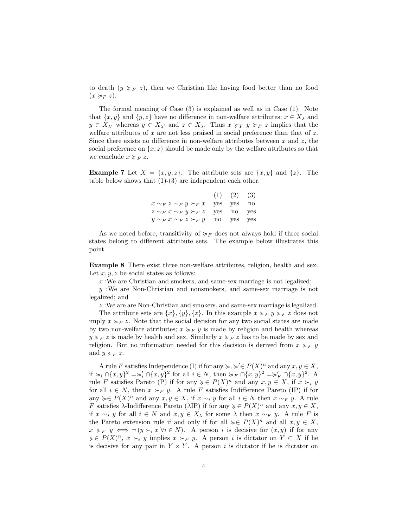to death  $(y \succcurlyeq_F z)$ , then we Christian like having food better than no food  $(x \succcurlyeq_F z).$ 

The formal meaning of Case (3) is explained as well as in Case (1). Note that  $\{x, y\}$  and  $\{y, z\}$  have no difference in non-welfare attributes;  $x \in X_\lambda$  and  $y \in X_{\lambda'}$  whereas  $y \in X_{\lambda'}$  and  $z \in X_{\lambda}$ . Thus  $x \succcurlyeq_F y \succcurlyeq_F z$  implies that the welfare attributes of x are not less praised in social preference than that of  $z$ . Since there exists no difference in non-welfare attributes between x and z, the social preference on  $\{x, z\}$  should be made only by the welfare attributes so that we conclude  $x \succcurlyeq_F z$ .

**Example 7** Let  $X = \{x, y, z\}$ . The attribute sets are  $\{x, y\}$  and  $\{z\}$ . The table below shows that (1)-(3) are independent each other.

|                                            | $(1)$ $(2)$ $(3)$ |  |
|--------------------------------------------|-------------------|--|
| $x \sim_F z \sim_F y \succ_F x$ yes yes no |                   |  |
| $z \sim_F x \sim_F y \succ_F z$ yes no yes |                   |  |
| $y \sim_F x \sim_F z \succ_F y$ no yes yes |                   |  |
|                                            |                   |  |

As we noted before, transitivity of  $\succeq_F$  does not always hold if three social states belong to different attribute sets. The example below illustrates this point.

Example 8 There exist three non-welfare attributes, religion, health and sex. Let  $x, y, z$  be social states as follows:

 $x:$ We are Christian and smokers, and same-sex marriage is not legalized;

y :We are Non-Christian and nonsmokers, and same-sex marriage is not legalized; and

z :We are are Non-Christian and smokers, and same-sex marriage is legalized.

The attribute sets are  $\{x\}, \{y\}, \{z\}$ . In this example  $x \succcurlyeq_F y \succcurlyeq_F z$  does not imply  $x \succcurlyeq_F z$ . Note that the social decision for any two social states are made by two non-welfare attributes;  $x \succ F y$  is made by religion and health whereas  $y \succcurlyeq_F z$  is made by health and sex. Similarly  $x \succcurlyeq_F z$  has to be made by sex and religion. But no information needed for this decision is derived from  $x \succcurlyeq_F y$ and  $y \succcurlyeq_F z$ .

A rule F satisfies Independence (I) if for any  $\succcurlyeq, \succcurlyeq' \in P(X)^n$  and any  $x, y \in X$ , if  $\succcurlyeq_i \bigcap \{x, y\}^2 = \succcurlyeq'_i \bigcap \{x, y\}^2$  for all  $i \in N$ , then  $\succcurlyeq_F \bigcap \{x, y\}^2 = \succ_F' \bigcap \{x, y\}^2$ . A rule F satisfies Pareto (P) if for any  $\succcurlyeq \in P(X)^n$  and any  $x, y \in X$ , if  $x \succ_i y$ for all  $i \in N$ , then  $x \succ_F y$ . A rule F satisfies Indifference Pareto (IP) if for any  $\succcurlyeq\in P(X)^n$  and any  $x, y \in X$ , if  $x \sim_i y$  for all  $i \in N$  then  $x \sim_F y$ . A rule F satisfies  $\lambda$ -Indifference Pareto ( $\lambda$ IP) if for any  $\succcurlyeq \in P(X)^n$  and any  $x, y \in X$ , if  $x \sim_i y$  for all  $i \in N$  and  $x, y \in X_\lambda$  for some  $\lambda$  then  $x \sim_F y$ . A rule F is the Pareto extension rule if and only if for all  $\succcurlyeq \in P(X)^n$  and all  $x, y \in X$ ,  $x \geq_F y \iff \neg (y \succ_i x \ \forall i \in N)$ . A person i is decisive for  $(x, y)$  if for any  $\succcurlyeq\in P(X)^n, x \succ_i y$  implies  $x \succ_F y$ . A person i is dictator on  $Y \subset X$  if he is decisive for any pair in  $Y \times Y$ . A person i is dictator if he is dictator on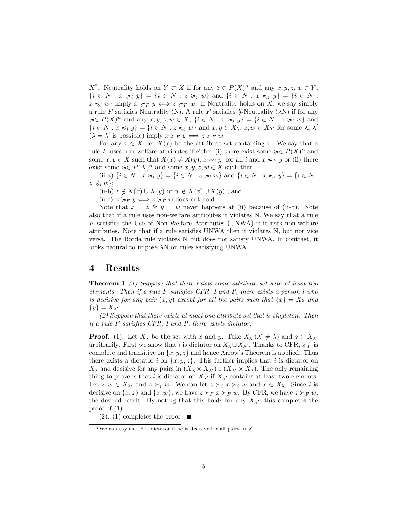$X^2$ . Neutrality holds on  $Y \subset X$  if for any  $\succcurlyeq \in P(X)^n$  and any  $x, y, z, w \in Y$ ,  $\{i \in N : x \succcurlyeq_i y\} = \{i \in N : z \succcurlyeq_i w\}$  and  $\{i \in N : x \preccurlyeq_i y\} = \{i \in N : x \succcurlyeq_i w\}$  $z \preccurlyeq_i w$  imply  $x \succcurlyeq_F y \Longleftrightarrow z \succcurlyeq_F w$ . If Neutrality holds on X, we say simply a rule F satisfies Neutrality (N). A rule F satisfies  $\lambda$ -Neutrality ( $\lambda$ N) if for any  $c \in P(X)^n$  and any  $x, y, z, w \in X$ ,  $\{i \in N : x \succ_{i} y\} = \{i \in N : z \succ_{i} w\}$  and  $\{i \in N : x \preccurlyeq_i y\} = \{i \in N : z \preccurlyeq_i w\} \text{ and } x, y \in X_\lambda, z, w \in X_{\lambda'} \text{ for some } \lambda, \lambda'$  $(\lambda = \lambda' \text{ is possible}) \text{ imply } x \succcurlyeq_F y \Longleftrightarrow z \succcurlyeq_F w.$ 

For any  $x \in X$ , let  $X(x)$  be the attribute set containing x. We say that a rule F uses non-welfare attributes if either (i) there exist some  $\succcurlyeq P(X)^n$  and some  $x, y \in X$  such that  $X(x) \neq X(y)$ ,  $x \sim_i y$  for all i and  $x \not\sim_F y$  or (ii) there exist some  $\succcurlyeq \in P(X)^n$  and some  $x, y, z, w \in X$  such that

(ii-a)  $\{i \in N : x \succcurlyeq_i y\} = \{i \in N : z \succcurlyeq_i w\}$  and  $\{i \in N : x \preccurlyeq_i y\} = \{i \in N : x \succcurlyeq_i w\}$  $z \preccurlyeq_i w$ ;

(ii-b)  $z \notin X(x) \cup X(y)$  or  $w \notin X(x) \cup X(y)$ ; and

(ii-c)  $x \succcurlyeq_F y \Longleftrightarrow z \succcurlyeq_F w$  does not hold.

Note that  $x = z \& y = w$  never happens at (ii) because of (ii-b). Note also that if a rule uses non-welfare attributes it violates N. We say that a rule  $F$  satisfies the Use of Non-Welfare Attributes (UNWA) if it uses non-welfare attributes. Note that if a rule satisfies UNWA then it violates N, but not vice versa. The Borda rule violates N but does not satisfy UNWA. In contrast, it looks natural to impose  $\lambda$ N on rules satisfying UNWA.

#### 4 Results

**Theorem 1** (1) Suppose that there exists some attribute set with at least two elements. Then if a rule  $F$  satisfies CFR, I and  $P$ , there exists a person i who is decisive for any pair  $(x, y)$  except for all the pairs such that  $\{x\} = X_{\lambda}$  and  $\{y\} = X_{\lambda'}$ .

(2) Suppose that there exists at most one attribute set that is singleton. Then if a rule  $F$  satisfies CFR, I and  $P$ , there exists dictator.

**Proof.** (1). Let  $X_{\lambda}$  be the set with x and y. Take  $X_{\lambda}(\lambda' \neq \lambda)$  and  $z \in X_{\lambda'}$ arbitrarily. First we show that i is dictator on  $X_{\lambda} \cup X_{\lambda'}$ . Thanks to CFR,  $\succcurlyeq_F$  is complete and transitive on  $\{x, y, z\}$  and hence Arrow's Theorem is applied. Thus there exists a dictator i on  $\{x, y, z\}$ . This further implies that i is dictator on  $X_{\lambda}$  and decisive for any pairs in  $(X_{\lambda} \times X_{\lambda'}) \cup (X_{\lambda'} \times X_{\lambda})$ . The only remaining thing to prove is that i is dictator on  $X_{\lambda'}$  if  $X_{\lambda'}$  contains at least two elements. Let  $z, w \in X_{\lambda'}$  and  $z \succ_i w$ . We can let  $z \succ_i x \succ_i w$  and  $x \in X_{\lambda}$ . Since i is decisive on  $\{x, z\}$  and  $\{x, w\}$ , we have  $z \succ_F x \succ_F w$ . By CFR, we have  $z \succ_F w$ , the desired result. By noting that this holds for any  $X_{\lambda'}$ , this completes the proof of  $(1)$ .

 $(2)$ . (1) completes the proof.  $\blacksquare$ 

<sup>&</sup>lt;sup>2</sup>We can say that *i* is dictator if he is decisive for all pairs in  $X$ .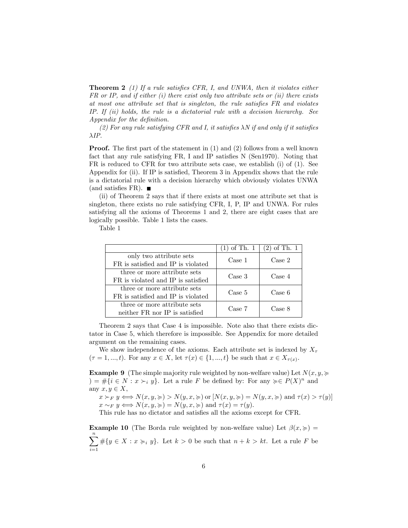**Theorem 2** (1) If a rule satisfies CFR, I, and UNWA, then it violates either FR or IP, and if either (i) there exist only two attribute sets or (ii) there exists at most one attribute set that is singleton, the rule satisfies  $FR$  and violates IP. If  $(ii)$  holds, the rule is a dictatorial rule with a decision hierarchy. See Appendix for the definition.

(2) For any rule satisfying CFR and I, it satisfies  $\lambda N$  if and only if it satisfies  $\lambda IP$ .

**Proof.** The first part of the statement in (1) and (2) follows from a well known fact that any rule satisfying  $FR$ , I and IP satisfies N (Sen1970). Noting that FR is reduced to CFR for two attribute sets case, we establish (i) of (1). See Appendix for (ii). If IP is satisfied, Theorem 3 in Appendix shows that the rule is a dictatorial rule with a decision hierarchy which obviously violates UNWA (and satisfies FR).  $\blacksquare$ 

(ii) of Theorem 2 says that if there exists at most one attribute set that is singleton, there exists no rule satisfying CFR, I, P, IP and UNWA. For rules satisfying all the axioms of Theorems 1 and 2, there are eight cases that are logically possible. Table 1 lists the cases.

Table 1

|                                    | $(1)$ of Th. 1 | $(2)$ of Th. 1 |  |
|------------------------------------|----------------|----------------|--|
| only two attribute sets            | Case 1         | Case 2         |  |
| FR is satisfied and IP is violated |                |                |  |
| three or more attribute sets       | Case 3         | Case 4         |  |
| FR is violated and IP is satisfied |                |                |  |
| three or more attribute sets       | Case 5         | Case 6         |  |
| FR is satisfied and IP is violated |                |                |  |
| three or more attribute sets       | Case 7         | Case 8         |  |
| neither FR nor IP is satisfied     |                |                |  |

Theorem 2 says that Case 4 is impossible. Note also that there exists dictator in Case 5, which therefore is impossible. See Appendix for more detailed argument on the remaining cases.

We show independence of the axioms. Each attribute set is indexed by  $X_{\tau}$  $(\tau = 1, ..., t)$ . For any  $x \in X$ , let  $\tau(x) \in \{1, ..., t\}$  be such that  $x \in X_{\tau(x)}$ .

**Example 9** (The simple majority rule weighted by non-welfare value) Let  $N(x, y, z)$  $)=\#\{i\in N: x\succ_i y\}.$  Let a rule F be defined by: For any  $\succcurlyeq\in P(X)^n$  and any  $x, y \in X$ ,

 $x \succ_F y \iff N(x, y, \succcurlyeq) > N(y, x, \succcurlyeq)$  or  $[N(x, y, \succcurlyeq) = N(y, x, \succcurlyeq)$  and  $\tau(x) > \tau(y)$ ]  $x \sim_F y \iff N(x, y, \succcurlyeq) = N(y, x, \succcurlyeq)$  and  $\tau(x) = \tau(y)$ .

This rule has no dictator and satisfies all the axioms except for CFR.

**Example 10** (The Borda rule weighted by non-welfare value) Let  $\beta(x, \geqslant)$  =  $\sum_{n=1}^{\infty}$  $\sum_{i=1}^{n} \# \{y \in X : x \succcurlyeq_i y\}.$  Let  $k > 0$  be such that  $n + k > kt$ . Let a rule F be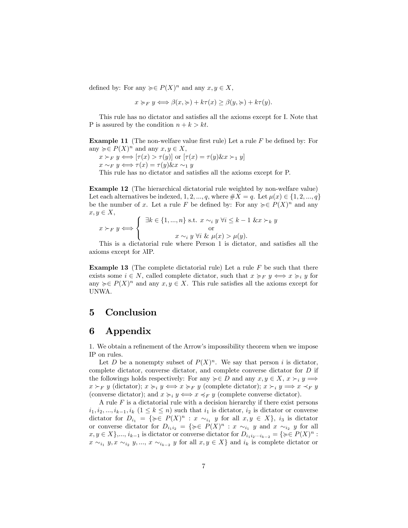defined by: For any  $\succcurlyeq \in P(X)^n$  and any  $x, y \in X$ ,

 $x \succcurlyeq_F y \Longleftrightarrow \beta(x, \succcurlyeq)+k\tau(x) \geq \beta(y, \succcurlyeq)+k\tau(y).$ 

This rule has no dictator and satisfies all the axioms except for I. Note that P is assured by the condition  $n + k > kt$ .

**Example 11** (The non-welfare value first rule) Let a rule  $F$  be defined by: For any  $\succcurlyeq\in P(X)^n$  and any  $x, y \in X$ ,

 $x \succ_F y \Longleftrightarrow [\tau(x) > \tau(y)]$  or  $[\tau(x) = \tau(y) \& x \succ_1 y]$  $x \sim_F y \iff \tau(x) = \tau(y) \& x \sim_1 y$ 

This rule has no dictator and satisfies all the axioms except for P.

Example 12 (The hierarchical dictatorial rule weighted by non-welfare value) Let each alternatives be indexed, 1, 2, ..., q, where  $\#X = q$ . Let  $\mu(x) \in \{1, 2, ..., q\}$ be the number of x. Let a rule F be defined by: For any  $\succcurlyeq \in P(X)^n$  and any  $x, y \in X$ ,

$$
x \succ_F y \Longleftrightarrow \begin{cases} \exists k \in \{1, ..., n\} \text{ s.t. } x \sim_i y \ \forall i \leq k - 1 \ \& x \succ_k y \\ \text{or} \\ x \sim_i y \ \forall i \ \& \ \mu(x) > \mu(y). \end{cases}
$$

This is a dictatorial rule where Person 1 is dictator, and satisfies all the axioms except for  $\lambda$ IP.

**Example 13** (The complete dictatorial rule) Let a rule  $F$  be such that there exists some  $i \in N$ , called complete dictator, such that  $x \succcurlyeq_F y \iff x \succcurlyeq_i y$  for any  $\succeq \in P(X)^n$  and any  $x, y \in X$ . This rule satisfies all the axioms except for UNWA.

#### 5 Conclusion

#### 6 Appendix

1. We obtain a refinement of the Arrow's impossibility theorem when we impose IP on rules.

Let D be a nonempty subset of  $P(X)^n$ . We say that person i is dictator, complete dictator, converse dictator, and complete converse dictator for D if the followings holds respectively: For any  $\succcurlyeq\in D$  and any  $x, y \in X$ ,  $x \succ_i y \Longrightarrow$  $x \succ_F y$  (dictator);  $x \succ_i y \iff x \succ_F y$  (complete dictator);  $x \succ_i y \iff x \prec_F y$ (converse dictator); and  $x \succcurlyeq_i y \Longleftrightarrow x \preccurlyeq_F y$  (complete converse dictator).

A rule  $F$  is a dictatorial rule with a decision hierarchy if there exist persons  $i_1, i_2, ..., i_{k-1}, i_k$   $(1 \leq k \leq n)$  such that  $i_1$  is dictator,  $i_2$  is dictator or converse dictator for  $D_{i_1} = \{ \geq \in P(X)^n : x \sim_{i_1} y$  for all  $x, y \in X \}$ ,  $i_3$  is dictator or converse dictator for  $D_{i_1i_2} = \{ \succcurlyeq \in P(X)^n : x \sim_{i_1} y \text{ and } x \sim_{i_2} y \text{ for all } i_2 \in \mathbb{N} \}$  $x, y \in X\}$ ,...,  $i_{k-1}$  is dictator or converse dictator for  $D_{i_1 i_2 \cdots i_{k-2}} = \{ \succcurlyeq P(X)^n :$  $x \sim_{i_1} y, x \sim_{i_2} y, ..., x \sim_{i_{k-2}} y$  for all  $x, y \in X$  and  $i_k$  is complete dictator or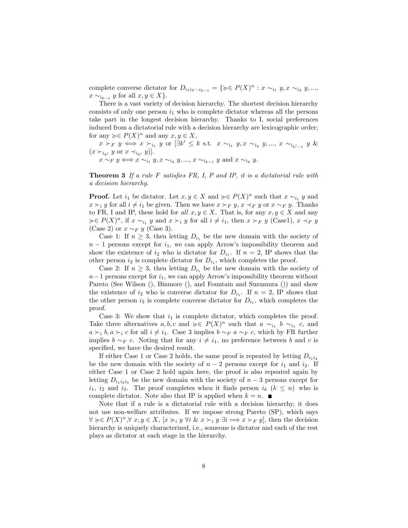complete converse dictator for  $D_{i_1 i_2 \cdots i_{k-1}} = \{ \succcurlyeq \in P(X)^n : x \sim_{i_1} y, x \sim_{i_2} y, ...,$  $x \sim_{i_{k-1}} y$  for all  $x, y \in X$ .

There is a vast variety of decision hierarchy. The shortest decision hierarchy consists of only one person  $i_1$  who is complete dictator whereas all the persons take part in the longest decision hierarchy. Thanks to I, social preferences induced from a dictatorial rule with a decision hierarchy are lexicographic order; for any  $\succcurlyeq\in P(X)^n$  and any  $x, y \in X$ ,

 $x \succ_F y \iff x \succ_{i_1} y$  or  $[\exists k' \leq k \text{ s.t. } x \sim_{i_1} y, x \sim_{i_2} y, ..., x \sim_{i_{k'-1}} y \&$  $(x \succ_{i_{k'}} y$  or  $x \prec_{i_{k'}} y)$ ].

 $x \sim_F y \iff x \sim_{i_1} y, x \sim_{i_2} y, ..., x \sim_{i_{k-1}} y$  and  $x \sim_{i_k} y$ .

**Theorem 3** If a rule  $F$  satisfies  $FR$ , I,  $P$  and I $P$ , it is a dictatorial rule with a decision hierarchy.

**Proof.** Let  $i_1$  be dictator. Let  $x, y \in X$  and  $\succeq \in P(X)^n$  such that  $x \sim_{i_1} y$  and  $x \succ_i y$  for all  $i \neq i_1$  be given. Then we have  $x \succ_F y$ ,  $x \prec_F y$  or  $x \sim_F y$ . Thanks to FR, I and IP, these hold for all  $x, y \in X$ . That is, for any  $x, y \in X$  and any  $\succcurlyeq\in P(X)^n$ , if  $x \sim_{i_1} y$  and  $x \succ_i y$  for all  $i \neq i_1$ , then  $x \succ_F y$  (Case1),  $x \prec_F y$ (Case 2) or  $x \sim_F y$  (Case 3).

Case 1: If  $n \geq 3$ , then letting  $D_{i_1}$  be the new domain with the society of  $n-1$  persons except for  $i_1$ , we can apply Arrow's impossibility theorem and show the existence of  $i_2$  who is dictator for  $D_{i_1}$ . If  $n = 2$ , IP shows that the other person  $i_2$  is complete dictator for  $D_{i_1}$ , which completes the proof.

Case 2: If  $n \geq 3$ , then letting  $D_i$ , be the new domain with the society of  $n-1$  persons except for  $i_1$ , we can apply Arrow's impossibility theorem without Pareto (See Wilson (), Binmore (), and Fountain and Suzumura ()) and show the existence of  $i_2$  who is converse dictator for  $D_{i_1}$ . If  $n = 2$ , IP shows that the other person  $i_2$  is complete converse dictator for  $D_{i_1}$ , which completes the proof.

Case 3: We show that  $i_1$  is complete dictator, which completes the proof. Take three alternatives  $a, b, c$  and  $\succeq \in P(X)^n$  such that  $a \sim_{i_1} b \sim_{i_1} c$ , and  $a \succ_i b, a \succ_i c$  for all  $i \neq i_1$ . Case 3 implies  $b \sim_F a \sim_F c$ , which by FR further implies  $b \sim_F c$ . Noting that for any  $i \neq i_1$ , no preference between b and c is specified, we have the desired result.

If either Case 1 or Case 2 holds, the same proof is repeated by letting  $D_{i_1i_2}$ be the new domain with the society of  $n-2$  persons except for  $i_1$  and  $i_2$ . If either Case 1 or Case 2 hold again here, the proof is also repeated again by letting  $D_{i_1i_2i_3}$  be the new domain with the society of  $n-3$  persons except for  $i_1$ ,  $i_2$  and  $i_3$ . The proof completes when it finds person  $i_k$   $(k \leq n)$  who is complete dictator. Note also that IP is applied when  $k = n$ .

Note that if a rule is a dictatorial rule with a decision hierarchy, it does not use non-welfare attributes. If we impose strong Pareto (SP), which says  $\forall \succcurlyeq\in P(X)^{n}, \forall x, y \in X, [x \succcurlyeq_i y \forall i \& x \succ_i y \exists i \Longrightarrow x \succ_{F} y],$  then the decision hierarchy is uniquely characterized, i.e., someone is dictator and each of the rest plays as dictator at each stage in the hierarchy.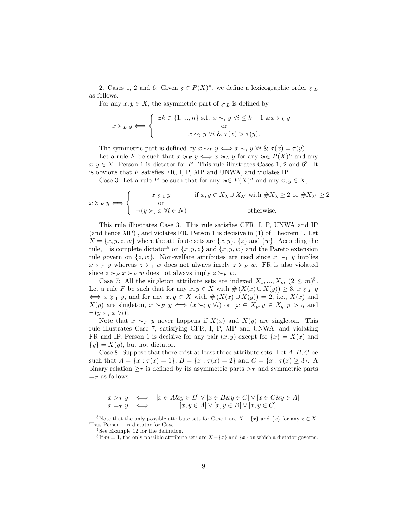2. Cases 1, 2 and 6: Given  $\succcurlyeq \in P(X)^n$ , we define a lexicographic order  $\succcurlyeq_L$ as follows.

For any  $x, y \in X$ , the asymmetric part of  $\succcurlyeq_L$  is defined by

$$
x \succ_L y \Longleftrightarrow \begin{cases} \exists k \in \{1, ..., n\} \text{ s.t. } x \sim_i y \ \forall i \leq k - 1 \ \& x \succ_k y \\ \text{or} \\ x \sim_i y \ \forall i \ \& \ \tau(x) > \tau(y). \end{cases}
$$

The symmetric part is defined by  $x \sim_L y \iff x \sim_i y \; \forall i \; \& \; \tau(x) = \tau(y).$ 

Let a rule F be such that  $x \succcurlyeq_F y \iff x \succcurlyeq_L y$  for any  $\succcurlyeq \in P(X)^n$  and any  $x, y \in X$ . Person 1 is dictator for F. This rule illustrates Cases 1, 2 and  $6^3$ . It is obvious that  $F$  satisfies FR, I, P,  $\lambda$ IP and UNWA, and violates IP.

Case 3: Let a rule F be such that for any  $\succcurlyeq \in P(X)^n$  and any  $x, y \in X$ ,

$$
x \succcurlyeq_F y \Longleftrightarrow \begin{cases} x \succcurlyeq_1 y & \text{if } x, y \in X_\lambda \cup X_{\lambda'} \text{ with } \#X_\lambda \ge 2 \text{ or } \#X_{\lambda'} \ge 2\\ \text{or } \\ \neg (y \succ_i x \ \forall i \in N) & \text{otherwise.} \end{cases}
$$

This rule illustrates Case 3. This rule satisfies CFR, I, P, UNWA and IP (and hence  $\lambda$ IP), and violates FR. Person 1 is decisive in (1) of Theorem 1. Let  $X = \{x, y, z, w\}$  where the attribute sets are  $\{x, y\}$ ,  $\{z\}$  and  $\{w\}$ . According the rule, 1 is complete dictator<sup>4</sup> on  $\{x, y, z\}$  and  $\{x, y, w\}$  and the Pareto extension rule govern on  $\{z, w\}$ . Non-welfare attributes are used since  $x \succ_1 y$  implies  $x \succ_F y$  whereas  $z \succ_1 w$  does not always imply  $z \succ_F w$ . FR is also violated since  $z \succ_F x \succ_F w$  does not always imply  $z \succ_F w$ .

Case 7: All the singleton attribute sets are indexed  $X_1, ..., X_m$   $(2 \leq m)^5$ . Let a rule F be such that for any  $x, y \in X$  with  $\# (X(x) \cup X(y)) \geq 3, x \succcurlyeq_F y$  $\iff x \succcurlyeq_1 y$ , and for any  $x, y \in X$  with  $\# (X(x) \cup X(y)) = 2$ , i.e.,  $X(x)$  and  $X(y)$  are singleton,  $x \succ_F y \iff (x \succ_i y \forall i)$  or  $[x \in X_p, y \in X_q, p > q$  and  $\neg (y \succ_i x \forall i)].$ 

Note that  $x \sim_F y$  never happens if  $X(x)$  and  $X(y)$  are singleton. This rule illustrates Case 7, satisfying CFR, I, P, IP and UNWA, and violating FR and IP. Person 1 is decisive for any pair  $(x, y)$  except for  $\{x\} = X(x)$  and  ${y} = X(y)$ , but not dictator.

Case 8: Suppose that there exist at least three attribute sets. Let  $A, B, C$  be such that  $A = \{x : \tau(x) = 1\}, B = \{x : \tau(x) = 2\}$  and  $C = \{x : \tau(x) \ge 3\}.$  A binary relation  $\geq_T$  is defined by its asymmetric parts  $\geq_T$  and symmetric parts  $=\tau$  as follows:

$$
\begin{array}{rcl}\nx >_T y & \iff & [x \in A \& y \in B] \lor [x \in B \& y \in C] \lor [x \in C \& y \in A] \\
x =_T y & \iff & [x, y \in A] \lor [x, y \in B] \lor [x, y \in C]\n\end{array}
$$

<sup>&</sup>lt;sup>3</sup>Note that the only possible attribute sets for Case 1 are  $X - \{x\}$  and  $\{x\}$  for any  $x \in X$ . Thus Person 1 is dictator for Case 1.

 $4$  See Example 12 for the definition.

<sup>&</sup>lt;sup>5</sup> If  $m = 1$ , the only possible attribute sets are  $X - \{x\}$  and  $\{x\}$  on which a dictator governs.